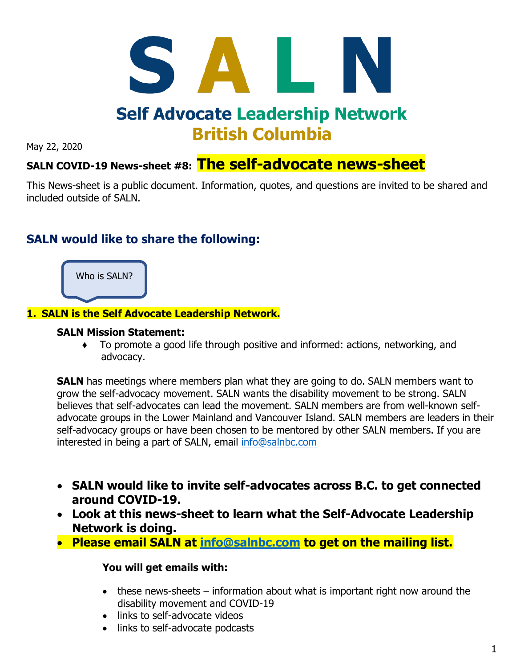

May 22, 2020

# **The self-advocate news-sheet SALN COVID-19 News-sheet #8:**

This News-sheet is a public document. Information, quotes, and questions are invited to be shared and included outside of SALN.

# **SALN would like to share the following:**



# **1. SALN is the Self Advocate Leadership Network.**

# **SALN Mission Statement:**

♦ To promote a good life through positive and informed: actions, networking, and advocacy.

**SALN** has meetings where members plan what they are going to do. SALN members want to grow the self-advocacy movement. SALN wants the disability movement to be strong. SALN believes that self-advocates can lead the movement. SALN members are from well-known selfadvocate groups in the Lower Mainland and Vancouver Island. SALN members are leaders in their self-advocacy groups or have been chosen to be mentored by other SALN members. If you are interested in being a part of SALN, email [info@salnbc.com](mailto:info@salnbc.com)

- **SALN would like to invite self-advocates across B.C. to get connected around COVID-19.**
- **Look at this news-sheet to learn what the Self-Advocate Leadership Network is doing.**
- **Please email SALN at [info@salnbc.com](mailto:info@salnbc.com) to get on the mailing list.**

# **You will get emails with:**

- these news-sheets information about what is important right now around the disability movement and COVID-19
- links to self-advocate videos
- links to self-advocate podcasts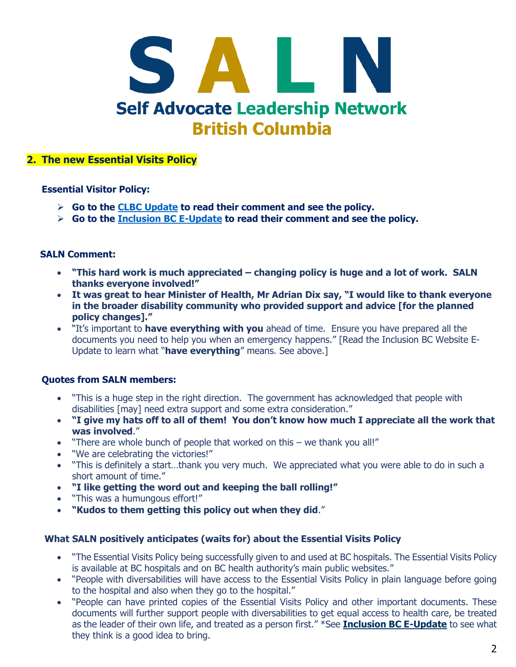

# **2. The new Essential Visits Policy**

### **Essential Visitor Policy:**

- ➢ **Go to the CLBC [Update](https://mailchi.mp/communitylivingbc/clbc-update-on-hospital-visits-3239284?e=7f6b9220af) to read their comment and see the policy.**
- ➢ **Go to the [Inclusion BC E-Update](https://inclusionbc.org/revised-essential-visits-policy-now-supports-patients-with-disabilities/?fbclid=IwAR0xx1kllJzX76axrjKFoybpWoCeK_GPohX4Tl44XiwA__E1YQjUSa9HAq8) to read their comment and see the policy.**

### **SALN Comment:**

- **"This hard work is much appreciated – changing policy is huge and a lot of work. SALN thanks everyone involved!"**
- **It was great to hear Minister of Health, Mr Adrian Dix say, "I would like to thank everyone in the broader disability community who provided support and advice [for the planned policy changes]."**
- "It's important to **have everything with you** ahead of time. Ensure you have prepared all the documents you need to help you when an emergency happens." [Read the Inclusion BC Website E-Update to learn what "**have everything**" means. See above.]

# **Quotes from SALN members:**

- "This is a huge step in the right direction. The government has acknowledged that people with disabilities [may] need extra support and some extra consideration."
- **"I give my hats off to all of them! You don't know how much I appreciate all the work that was involved**."
- "There are whole bunch of people that worked on this we thank you all!"
- "We are celebrating the victories!"
- "This is definitely a start…thank you very much. We appreciated what you were able to do in such a short amount of time."
- **"I like getting the word out and keeping the ball rolling!"**
- "This was a humungous effort!"
- **"Kudos to them getting this policy out when they did**."

#### **What SALN positively anticipates (waits for) about the Essential Visits Policy**

- "The Essential Visits Policy being successfully given to and used at BC hospitals. The Essential Visits Policy is available at BC hospitals and on BC health authority's main public websites."
- "People with diversabilities will have access to the Essential Visits Policy in plain language before going to the hospital and also when they go to the hospital."
- "People can have printed copies of the Essential Visits Policy and other important documents. These documents will further support people with diversabilities to get equal access to health care, be treated as the leader of their own life, and treated as a person first." \*See **[Inclusion BC E-Update](https://inclusionbc.org/revised-essential-visits-policy-now-supports-patients-with-disabilities/?fbclid=IwAR0xx1kllJzX76axrjKFoybpWoCeK_GPohX4Tl44XiwA__E1YQjUSa9HAq8)** to see what they think is a good idea to bring.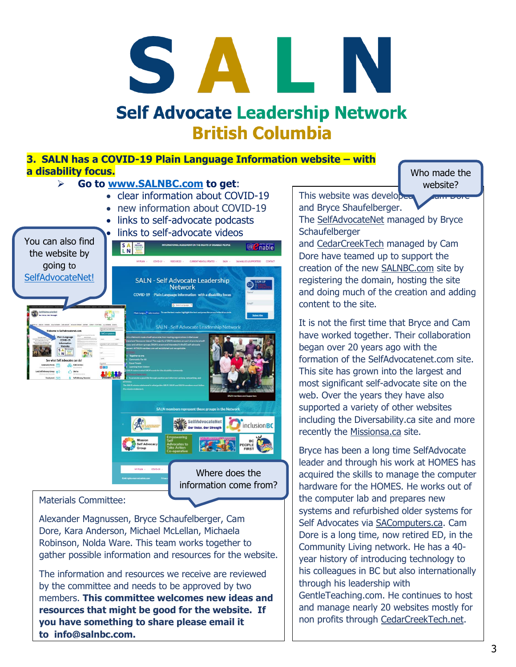# S A H. **Self Advocate Leadership Network British Columbia**

# **3. SALN has a COVID-19 Plain Language Information website – with a disability focus.**

# ➢ **Go to [www.SALNBC.com](http://www.salnbc.com/) to get**:

- clear information about COVID-19
- new information about COVID-19
- links to self-advocate podcasts
- links to self-advocate videos



# Materials Committee:

Alexander Magnussen, Bryce Schaufelberger, Cam Dore, Kara Anderson, Michael McLellan, Michaela Robinson, Nolda Ware. This team works together to gather possible information and resources for the website.

The information and resources we receive are reviewed by the committee and needs to be approved by two members. **This committee welcomes new ideas and resources that might be good for the website. If you have something to share please email it to [info@salnbc.com.](mailto:info@salnbc.com)**

Who made the website?

**SALNED** 

This website was developed and Bryce Shaufelberger.

The [SelfAdvocateNet](https://mail.shsbc.ca/owa/redir.aspx?C=8RU_PbEMWlH-C0RiQGQaRobHUTPlsMcwmYfVDs0p9iPM-OkgWPzXCA..&URL=https%3a%2f%2fselfadvocatenet.com) managed by Bryce **Schaufelberger** 

and [CedarCreekTech](https://mail.shsbc.ca/owa/redir.aspx?C=EtcKNiJiOg_6DT6iwEBTJURIZga3UEbTRyMHWtVY_1XM-OkgWPzXCA..&URL=https%3a%2f%2fcedarcreektech.net) managed by Cam Dore have teamed up to support the creation of the new [SALNBC.com](https://mail.shsbc.ca/owa/redir.aspx?C=UtGEFYVMHrtgi4lWqIyYJAvVbrKLFpNM9ae-QmNLFgfM-OkgWPzXCA..&URL=https%3a%2f%2fSALNBC.com) site by registering the domain, hosting the site and doing much of the creation and adding content to the site.

It is not the first time that Bryce and Cam have worked together. Their collaboration began over 20 years ago with the formation of the SelfAdvocatenet.com site. This site has grown into the largest and most significant self-advocate site on the web. Over the years they have also supported a variety of other websites including the Diversability.ca site and more recently the [Missionsa.ca](https://mail.shsbc.ca/owa/redir.aspx?C=k9ZJKBRZ2nRgjGfStXvC4CCVzLcU7brSQ-XeS9qu1y7M-OkgWPzXCA..&URL=https%3a%2f%2fMissionsa.ca) site.

Bryce has been a long time SelfAdvocate leader and through his work at HOMES has acquired the skills to manage the computer hardware for the HOMES. He works out of the computer lab and prepares new systems and refurbished older systems for Self Advocates via [SAComputers.ca.](https://mail.shsbc.ca/owa/redir.aspx?C=igp4OfNvDmdZ6hUp46GdLKcIOyHqRDjIJ2ZVsF73SerM-OkgWPzXCA..&URL=https%3a%2f%2fSAComputers.ca) Cam Dore is a long time, now retired ED, in the Community Living network. He has a 40 year history of introducing technology to his colleagues in BC but also internationally through his leadership with GentleTeaching.com. He continues to host and manage nearly 20 websites mostly for non profits through [CedarCreekTech.net.](https://mail.shsbc.ca/owa/redir.aspx?C=7uU5kaiiJN_B1H4-AXm9rQ2y5KehV7n5b0hP7lL2sBfM-OkgWPzXCA..&URL=https%3a%2f%2fCedarCreekTech.net)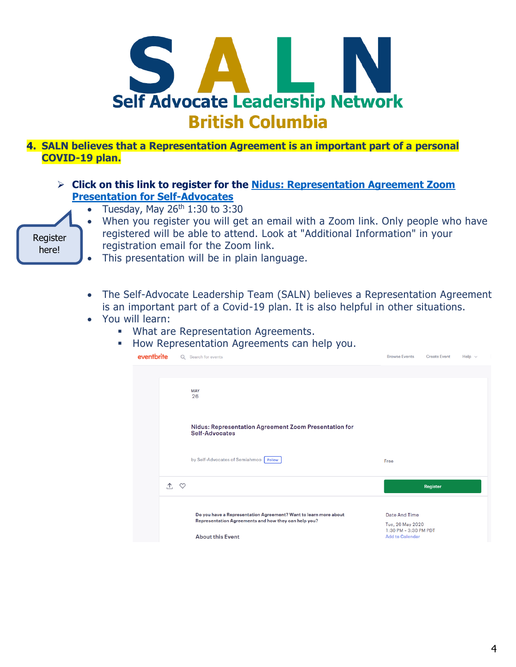

**4. SALN believes that a Representation Agreement is an important part of a personal COVID-19 plan.**

- ➢ **Click on this link to register for the [Nidus: Representation Agreement Zoom](https://www.eventbrite.ca/e/nidus-representation-agreement-zoom-presentation-for-self-advocates-tickets-105595037600?aff=ebdssbonlinesearch)  [Presentation for Self-Advocates](https://www.eventbrite.ca/e/nidus-representation-agreement-zoom-presentation-for-self-advocates-tickets-105595037600?aff=ebdssbonlinesearch)**
	- Tuesday, May  $26<sup>th</sup> 1:30$  to 3:30



- When you register you will get an email with a Zoom link. Only people who have registered will be able to attend. Look at "Additional Information" in your registration email for the Zoom link.
- This presentation will be in plain language.
- The Self-Advocate Leadership Team (SALN) believes a Representation Agreement is an important part of a Covid-19 plan. It is also helpful in other situations.
- You will learn:
	- What are Representation Agreements.
		- How Representation Agreements can help you.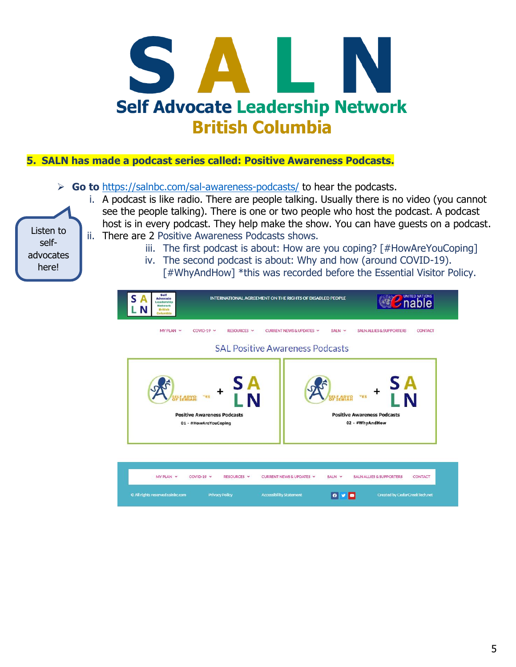

# **5. SALN has made a podcast series called: Positive Awareness Podcasts.**

- ➢ **Go to** <https://salnbc.com/sal-awareness-podcasts/> to hear the podcasts.
	- i. A podcast is like radio. There are people talking. Usually there is no video (you cannot see the people talking). There is one or two people who host the podcast. A podcast host is in every podcast. They help make the show. You can have guests on a podcast. ii. There are 2 Positive Awareness Podcasts shows.

iii. The first podcast is about: How are you coping? [#HowAreYouCoping]

iv. The second podcast is about: Why and how (around COVID-19).



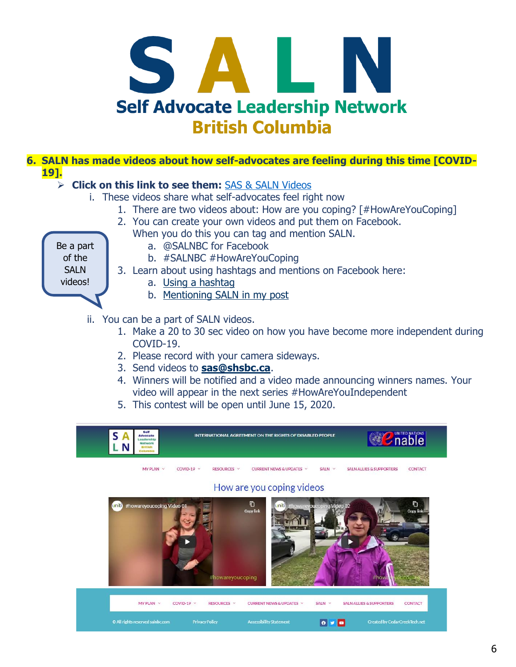

# **6. SALN has made videos about how self-advocates are feeling during this time [COVID-19].**

# ➢ **Click on this link to see them:** [SAS & SALN Videos](https://www.youtube.com/watch?v=nlzrSU57lEs&list=PL7iWGvppXsnaRDW_4er2tp2GnWnFAaNPh)

- i. These videos share what self-advocates feel right now
	- 1. There are two videos about: How are you coping? [#HowAreYouCoping]
	- 2. You can create your own videos and put them on Facebook.
		- When you do this you can tag and mention SALN.

Be a part of the **SALN** videos!

- a. @SALNBC for Facebook
	- b. #SALNBC #HowAreYouCoping
- 3. Learn about using hashtags and mentions on Facebook here:
	- a. [Using a hashtag](https://www.facebook.com/help/587836257914341)
	- b. [Mentioning SALN in my post](https://www.facebook.com/help/218027134882349)
- ii. You can be a part of SALN videos.
	- 1. Make a 20 to 30 sec video on how you have become more independent during COVID-19.
	- 2. Please record with your camera sideways.
	- 3. Send videos to **[sas@shsbc.ca](mailto:sas@shsbc.ca)**.
	- 4. Winners will be notified and a video made announcing winners names. Your video will appear in the next series #HowAreYouIndependent
	- 5. This contest will be open until June 15, 2020.

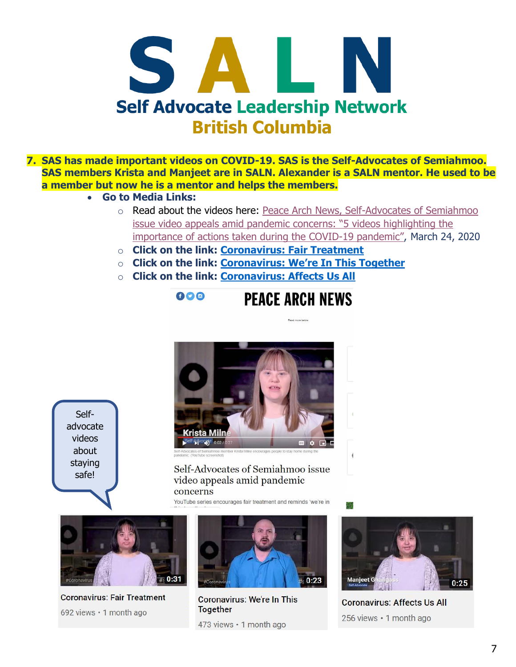

- **7. SAS has made important videos on COVID-19. SAS is the Self-Advocates of Semiahmoo. SAS members Krista and Manjeet are in SALN. Alexander is a SALN mentor. He used to be a member but now he is a mentor and helps the members.** 
	- **Go to Media Links:**
		- o Read about the videos here: [Peace Arch News, Self-Advocates of Semiahmoo](https://www.peacearchnews.com/community/self-advocates-of-semiahmoo-issue-video-appeals-amid-pandemic-concerns/)  [issue video appeals amid pandemic concerns: "5 videos h](https://www.peacearchnews.com/community/self-advocates-of-semiahmoo-issue-video-appeals-amid-pandemic-concerns/)ighlighting the [importance of actions taken during the COVID-](https://www.peacearchnews.com/community/self-advocates-of-semiahmoo-issue-video-appeals-amid-pandemic-concerns/)19 pandemic", March 24, 2020

**PEACE ARCH NEWS** 

- o **Click on the link: [Coronavirus: Fair Treatment](https://www.youtube.com/watch?v=qIcj2eCWfKQ)**
- o **Click on the link: Coronavirus: [We're In This Together](https://www.youtube.com/watch?v=srXaWxhBCXE)**
- o **Click on the link: [Coronavirus: Affects Us All](https://www.youtube.com/watch?v=04T20tGNuHM)**

600



Selfadvocate videos about staying safe!

# Self-Advocates of Semiahmoo issue video appeals amid pandemic concerns

YouTube series encourages fair treatment and reminds 'we're in



**Coronavirus: Fair Treatment** 692 views · 1 month ago



**Coronavirus: We're In This Together** 473 views · 1 month ago



en.<br>199

**Coronavirus: Affects Us All** 256 views · 1 month ago

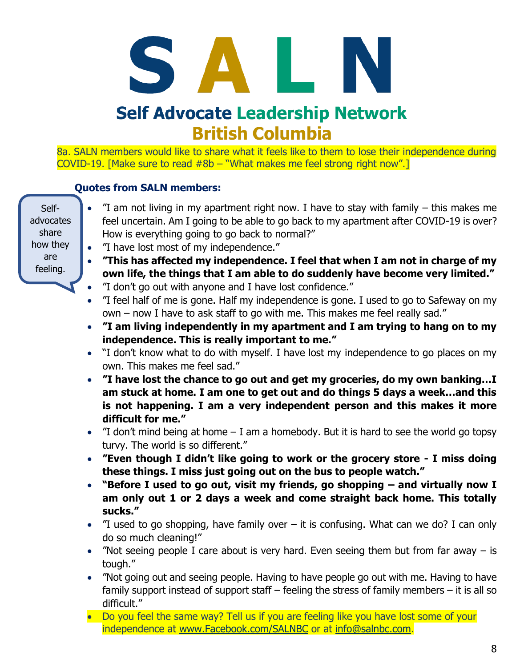# **Self Advocate Leadership Network British Columbia**

8a. SALN members would like to share what it feels like to them to lose their independence during COVID-19. [Make sure to read  $#8b - "What makes me feel strong right now".]$ 

# **Quotes from SALN members:**

Selfadvocates share how they are feeling.

- "I am not living in my apartment right now. I have to stay with family this makes me feel uncertain. Am I going to be able to go back to my apartment after COVID-19 is over? How is everything going to go back to normal?"
- "I have lost most of my independence."
- **"This has affected my independence. I feel that when I am not in charge of my own life, the things that I am able to do suddenly have become very limited."**
- "I don't go out with anyone and I have lost confidence."
- "I feel half of me is gone. Half my independence is gone. I used to go to Safeway on my own – now I have to ask staff to go with me. This makes me feel really sad."
- **"I am living independently in my apartment and I am trying to hang on to my independence. This is really important to me."**
- "I don't know what to do with myself. I have lost my independence to go places on my own. This makes me feel sad."
- **"I have lost the chance to go out and get my groceries, do my own banking…I am stuck at home. I am one to get out and do things 5 days a week…and this is not happening. I am a very independent person and this makes it more difficult for me."**
- $\degree$  T don't mind being at home  $-$  I am a homebody. But it is hard to see the world go topsy turvy. The world is so different."
- **"Even though I didn't like going to work or the grocery store - I miss doing these things. I miss just going out on the bus to people watch."**
- **"Before I used to go out, visit my friends, go shopping – and virtually now I am only out 1 or 2 days a week and come straight back home. This totally sucks."**
- $\degree$  T used to go shopping, have family over it is confusing. What can we do? I can only do so much cleaning!"
- "Not seeing people I care about is very hard. Even seeing them but from far away  $-$  is tough."
- "Not going out and seeing people. Having to have people go out with me. Having to have family support instead of support staff – feeling the stress of family members – it is all so difficult."
- Do you feel the same way? Tell us if you are feeling like you have lost some of your independence at [www.Facebook.com/SALNBC](http://www.facebook.com/SALNBC) or at [info@salnbc.com.](mailto:info@salnbc.com)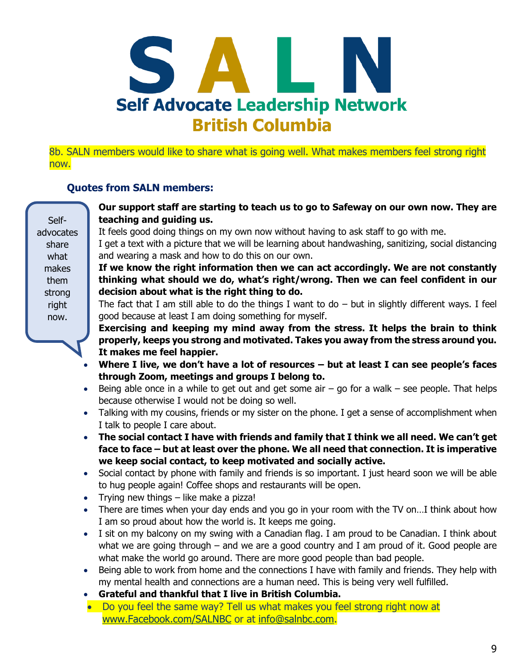

8b. SALN members would like to share what is going well. What makes members feel strong right now.

# **Quotes from SALN members:**

# • **Our support staff are starting to teach us to go to Safeway on our own now. They are teaching and guiding us.**

It feels good doing things on my own now without having to ask staff to go with me.

• I get a text with a picture that we will be learning about handwashing, sanitizing, social distancing and wearing a mask and how to do this on our own.

• **If we know the right information then we can act accordingly. We are not constantly thinking what should we do, what's right/wrong. Then we can feel confident in our decision about what is the right thing to do.** 

The fact that I am still able to do the things I want to do  $-$  but in slightly different ways. I feel good because at least I am doing something for myself.

• **Exercising and keeping my mind away from the stress. It helps the brain to think properly, keeps you strong and motivated. Takes you away from the stress around you. It makes me feel happier.** 

- **Where I live, we don't have a lot of resources – but at least I can see people's faces through Zoom, meetings and groups I belong to.**
- Being able once in a while to get out and get some air go for a walk see people. That helps because otherwise I would not be doing so well.
- Talking with my cousins, friends or my sister on the phone. I get a sense of accomplishment when I talk to people I care about.
- **The social contact I have with friends and family that I think we all need. We can't get face to face – but at least over the phone. We all need that connection. It is imperative we keep social contact, to keep motivated and socially active.**
- Social contact by phone with family and friends is so important. I just heard soon we will be able to hug people again! Coffee shops and restaurants will be open.
- Trying new things like make a pizza!
- There are times when your day ends and you go in your room with the TV on...I think about how I am so proud about how the world is. It keeps me going.
- I sit on my balcony on my swing with a Canadian flag. I am proud to be Canadian. I think about what we are going through – and we are a good country and I am proud of it. Good people are what make the world go around. There are more good people than bad people.
- Being able to work from home and the connections I have with family and friends. They help with my mental health and connections are a human need. This is being very well fulfilled.
- **Grateful and thankful that I live in British Columbia.**
- Do you feel the same way? Tell us what makes you feel strong right now at [www.Facebook.com/SALNBC](http://www.facebook.com/SALNBC) or at [info@salnbc.com.](mailto:info@salnbc.com)

Selfadvocates share what makes them strong right now.